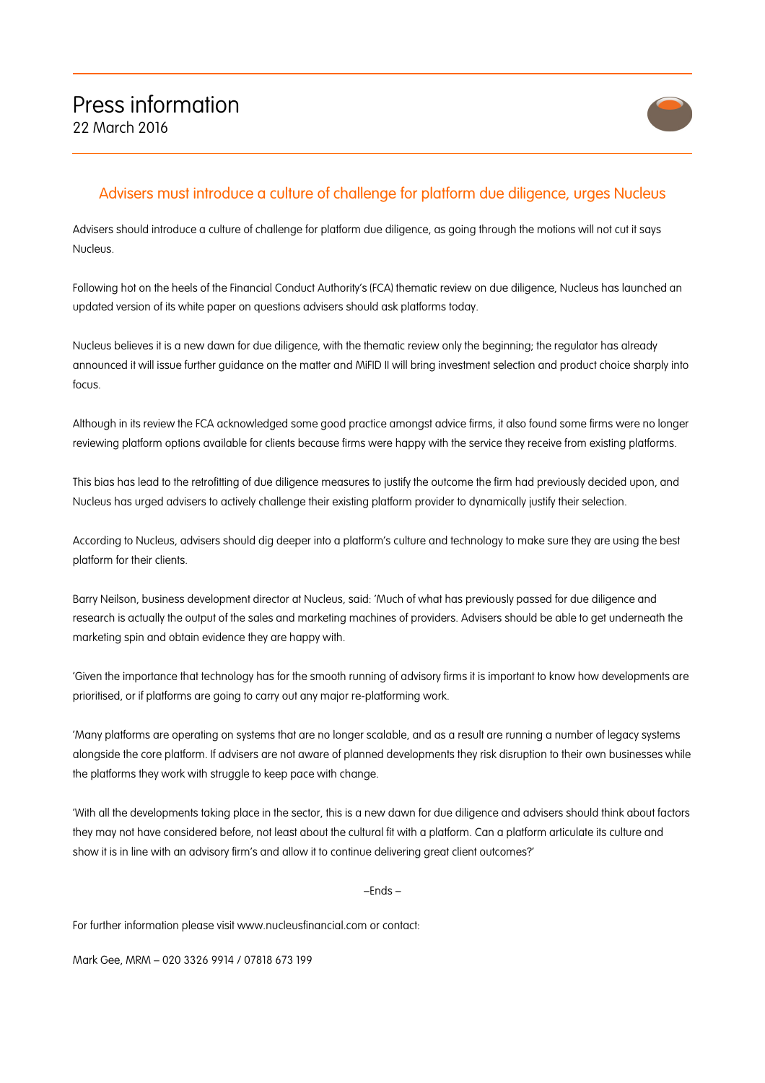

## Advisers must introduce a culture of challenge for platform due diligence, urges Nucleus

Advisers should introduce a culture of challenge for platform due diligence, as going through the motions will not cut it says Nucleus.

Following hot on the heels of the Financial Conduct Authority's (FCA) thematic review on due diligence, Nucleus has launched an updated version of its white paper on questions advisers should ask platforms today.

Nucleus believes it is a new dawn for due diligence, with the thematic review only the beginning; the regulator has already announced it will issue further guidance on the matter and MiFID II will bring investment selection and product choice sharply into focus.

Although in its review the FCA acknowledged some good practice amongst advice firms, it also found some firms were no longer reviewing platform options available for clients because firms were happy with the service they receive from existing platforms.

This bias has lead to the retrofitting of due diligence measures to justify the outcome the firm had previously decided upon, and Nucleus has urged advisers to actively challenge their existing platform provider to dynamically justify their selection.

According to Nucleus, advisers should dig deeper into a platform's culture and technology to make sure they are using the best platform for their clients.

Barry Neilson, business development director at Nucleus, said: 'Much of what has previously passed for due diligence and research is actually the output of the sales and marketing machines of providers. Advisers should be able to get underneath the marketing spin and obtain evidence they are happy with.

'Given the importance that technology has for the smooth running of advisory firms it is important to know how developments are prioritised, or if platforms are going to carry out any major re-platforming work.

'Many platforms are operating on systems that are no longer scalable, and as a result are running a number of legacy systems alongside the core platform. If advisers are not aware of planned developments they risk disruption to their own businesses while the platforms they work with struggle to keep pace with change.

'With all the developments taking place in the sector, this is a new dawn for due diligence and advisers should think about factors they may not have considered before, not least about the cultural fit with a platform. Can a platform articulate its culture and show it is in line with an advisory firm's and allow it to continue delivering great client outcomes?'

 $-$ Fnds  $-$ 

For further information please visit www.nucleusfinancial.com or contact:

Mark Gee, MRM – 020 3326 9914 / 07818 673 199